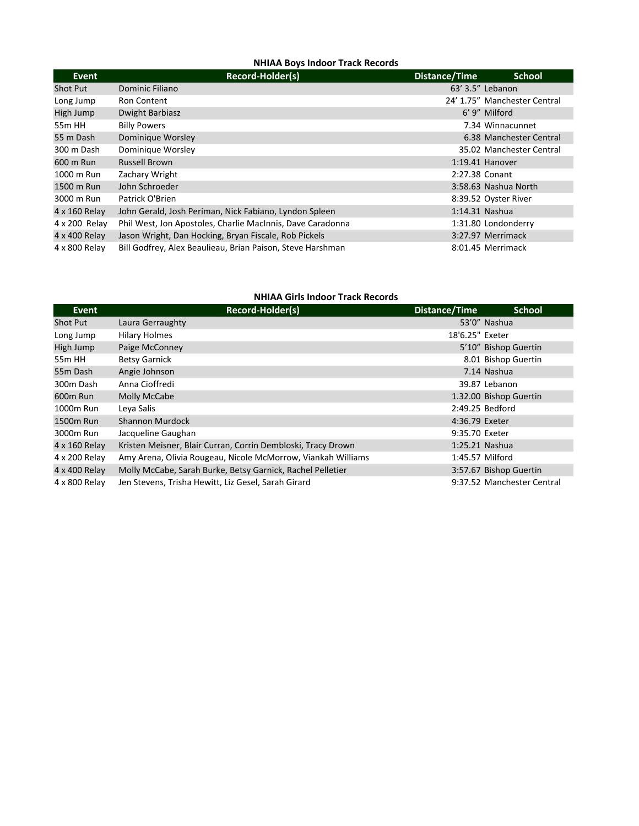## **NHIAA Boys Indoor Track Records**

| Event              | Record-Holder(s)                                           | Distance/Time  | <b>School</b>                |
|--------------------|------------------------------------------------------------|----------------|------------------------------|
| <b>Shot Put</b>    | <b>Dominic Filiano</b>                                     |                | 63' 3.5" Lebanon             |
| Long Jump          | <b>Ron Content</b>                                         |                | 24' 1.75" Manchester Central |
| High Jump          | Dwight Barbiasz                                            |                | 6' 9" Milford                |
| 55 <sub>m</sub> HH | <b>Billy Powers</b>                                        |                | 7.34 Winnacunnet             |
| 55 m Dash          | Dominique Worsley                                          |                | 6.38 Manchester Central      |
| 300 m Dash         | Dominique Worsley                                          |                | 35.02 Manchester Central     |
| 600 m Run          | <b>Russell Brown</b>                                       |                | $1:19.41$ Hanover            |
| 1000 m Run         | Zachary Wright                                             | 2:27.38 Conant |                              |
| 1500 m Run         | John Schroeder                                             |                | 3:58.63 Nashua North         |
| 3000 m Run         | Patrick O'Brien                                            |                | 8:39.52 Oyster River         |
| 4 x 160 Relay      | John Gerald, Josh Periman, Nick Fabiano, Lyndon Spleen     | 1:14.31 Nashua |                              |
| 4 x 200 Relay      | Phil West, Jon Apostoles, Charlie MacInnis, Dave Caradonna |                | 1:31.80 Londonderry          |
| 4 x 400 Relay      | Jason Wright, Dan Hocking, Bryan Fiscale, Rob Pickels      |                | 3:27.97 Merrimack            |
| 4 x 800 Relay      | Bill Godfrey, Alex Beaulieau, Brian Paison, Steve Harshman |                | 8:01.45 Merrimack            |

## **NHIAA Girls Indoor Track Records**

| Event                | <b>Record-Holder(s)</b>                                      | Distance/Time   | <b>School</b>              |
|----------------------|--------------------------------------------------------------|-----------------|----------------------------|
| <b>Shot Put</b>      | Laura Gerraughty                                             |                 | 53'0" Nashua               |
| Long Jump            | <b>Hilary Holmes</b>                                         | 18'6.25" Exeter |                            |
| High Jump            | Paige McConney                                               |                 | 5'10" Bishop Guertin       |
| 55 <sub>m</sub> HH   | <b>Betsy Garnick</b>                                         |                 | 8.01 Bishop Guertin        |
| 55m Dash             | Angie Johnson                                                |                 | 7.14 Nashua                |
| 300m Dash            | Anna Cioffredi                                               |                 | 39.87 Lebanon              |
| 600 <sub>m</sub> Run | Molly McCabe                                                 |                 | 1.32.00 Bishop Guertin     |
| 1000m Run            | Leva Salis                                                   |                 | 2:49.25 Bedford            |
| 1500m Run            | <b>Shannon Murdock</b>                                       | 4:36.79 Exeter  |                            |
| 3000m Run            | Jacqueline Gaughan                                           | 9:35.70 Exeter  |                            |
| 4 x 160 Relay        | Kristen Meisner, Blair Curran, Corrin Dembloski, Tracy Drown | 1:25.21 Nashua  |                            |
| 4 x 200 Relay        | Amy Arena, Olivia Rougeau, Nicole McMorrow, Viankah Williams | 1:45.57 Milford |                            |
| 4 x 400 Relay        | Molly McCabe, Sarah Burke, Betsy Garnick, Rachel Pelletier   |                 | 3:57.67 Bishop Guertin     |
| 4 x 800 Relay        | Jen Stevens, Trisha Hewitt, Liz Gesel, Sarah Girard          |                 | 9:37.52 Manchester Central |